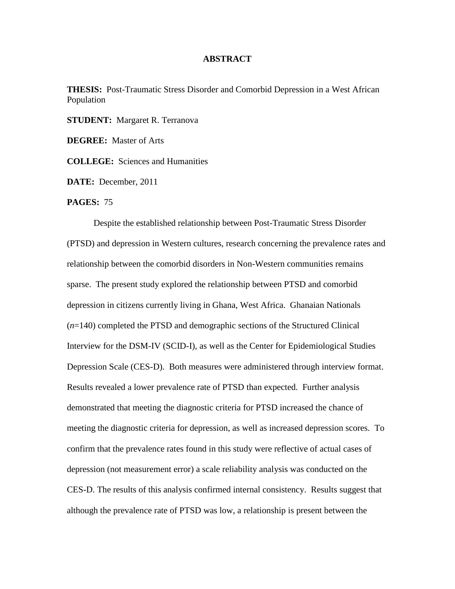## **ABSTRACT**

**THESIS:** Post-Traumatic Stress Disorder and Comorbid Depression in a West African Population

**STUDENT:** Margaret R. Terranova

**DEGREE:** Master of Arts

**COLLEGE:** Sciences and Humanities

**DATE:** December, 2011

**PAGES:** 75

Despite the established relationship between Post-Traumatic Stress Disorder (PTSD) and depression in Western cultures, research concerning the prevalence rates and relationship between the comorbid disorders in Non-Western communities remains sparse. The present study explored the relationship between PTSD and comorbid depression in citizens currently living in Ghana, West Africa. Ghanaian Nationals (*n*=140) completed the PTSD and demographic sections of the Structured Clinical Interview for the DSM-IV (SCID-I), as well as the Center for Epidemiological Studies Depression Scale (CES-D). Both measures were administered through interview format. Results revealed a lower prevalence rate of PTSD than expected. Further analysis demonstrated that meeting the diagnostic criteria for PTSD increased the chance of meeting the diagnostic criteria for depression, as well as increased depression scores. To confirm that the prevalence rates found in this study were reflective of actual cases of depression (not measurement error) a scale reliability analysis was conducted on the CES-D. The results of this analysis confirmed internal consistency. Results suggest that although the prevalence rate of PTSD was low, a relationship is present between the